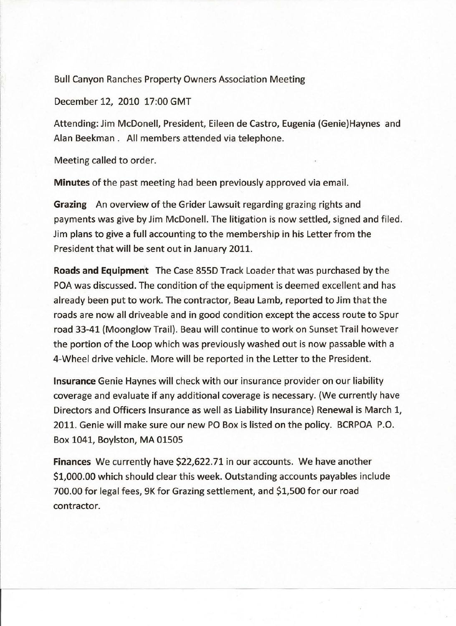Bull Canyon Ranches Property Owners Association Meeting

December 12, 2010 17:00 GMT

Attending: Jim McDonell, President, Eileen de Castro, Eugenia (Genie)Haynes and Alan Beekman. All members attended via telephone.

Meeting called to order.

**Minutes** of the past meeting had been previously approved via email.

**Grazing** An overview of the Grider Lawsuit regarding grazing rights and payments was give by Jim McDonell. The litigation is now settled, signed and filed. Jim plans to give a full accounting to the membership in his Letter from the President that will be sent out in January 2011.

**Roads and** Equipment The Case 855D Track Loader that was purchased by the POA was discussed. The condition of the equipment is deemed excellent and has already been put to work. The contractor, Beau Lamb, reported to Jim that the roads are now all driveable and in good condition except the access route to Spur road 33-41 (Moonglow Trail). Beau will continue to work on Sunset Trail however the portion of the Loop which was previously washed out is now passable with a 4-Wheel drive vehicle. More will be reported in the Letter to the President.

**Insurance** Genie Haynes will check with our insurance provider on our liability coverage and evaluate if any additional coverage is necessary. (We currently have Directors and Officers Insurance as well as Liability Insurance) Renewal is March 1, 2011. Genie will make sure our new PO Box is listed on the policy. BCRPOA P.O. Box 1041, Boylston, MA 01505

**Finances** We currently have \$22,622.71 in our accounts. We have another \$1,000.00 which should clear this week. Outstanding accounts payables include 700.00 for legal fees, 9K for Grazing settlement, and \$1,500 for our road contractor.